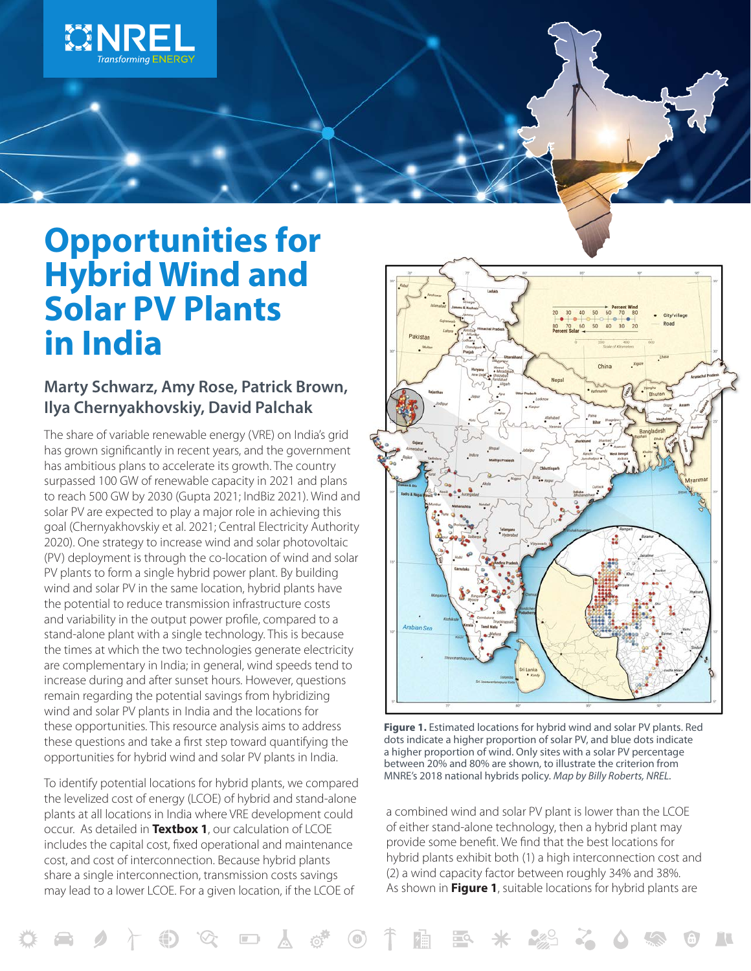

# **Opportunities for Hybrid Wind and Solar PV Plants in India**

#### **Marty Schwarz, Amy Rose, Patrick Brown, Ilya Chernyakhovskiy, David Palchak**

The share of variable renewable energy (VRE) on India's grid has grown significantly in recent years, and the government has ambitious plans to accelerate its growth. The country surpassed 100 GW of renewable capacity in 2021 and plans to reach 500 GW by 2030 (Gupta 2021; IndBiz 2021). Wind and solar PV are expected to play a major role in achieving this goal (Chernyakhovskiy et al. 2021; Central Electricity Authority 2020). One strategy to increase wind and solar photovoltaic (PV) deployment is through the co-location of wind and solar PV plants to form a single hybrid power plant. By building wind and solar PV in the same location, hybrid plants have the potential to reduce transmission infrastructure costs and variability in the output power profile, compared to a stand-alone plant with a single technology. This is because the times at which the two technologies generate electricity are complementary in India; in general, wind speeds tend to increase during and after sunset hours. However, questions remain regarding the potential savings from hybridizing wind and solar PV plants in India and the locations for these opportunities. This resource analysis aims to address these questions and take a first step toward quantifying the opportunities for hybrid wind and solar PV plants in India.

To identify potential locations for hybrid plants, we compared the levelized cost of energy (LCOE) of hybrid and stand-alone plants at all locations in India where VRE development could occur. As detailed in **Textbox 1**, our calculation of LCOE includes the capital cost, fixed operational and maintenance cost, and cost of interconnection. Because hybrid plants share a single interconnection, transmission costs savings may lead to a lower LCOE. For a given location, if the LCOE of



**Figure 1.** Estimated locations for hybrid wind and solar PV plants. Red dots indicate a higher proportion of solar PV, and blue dots indicate a higher proportion of wind. Only sites with a solar PV percentage between 20% and 80% are shown, to illustrate the criterion from MNRE's 2018 national hybrids policy. *Map by Billy Roberts, NREL.*

a combined wind and solar PV plant is lower than the LCOE of either stand-alone technology, then a hybrid plant may provide some benefit. We find that the best locations for hybrid plants exhibit both (1) a high interconnection cost and (2) a wind capacity factor between roughly 34% and 38%. As shown in **Figure 1**, suitable locations for hybrid plants are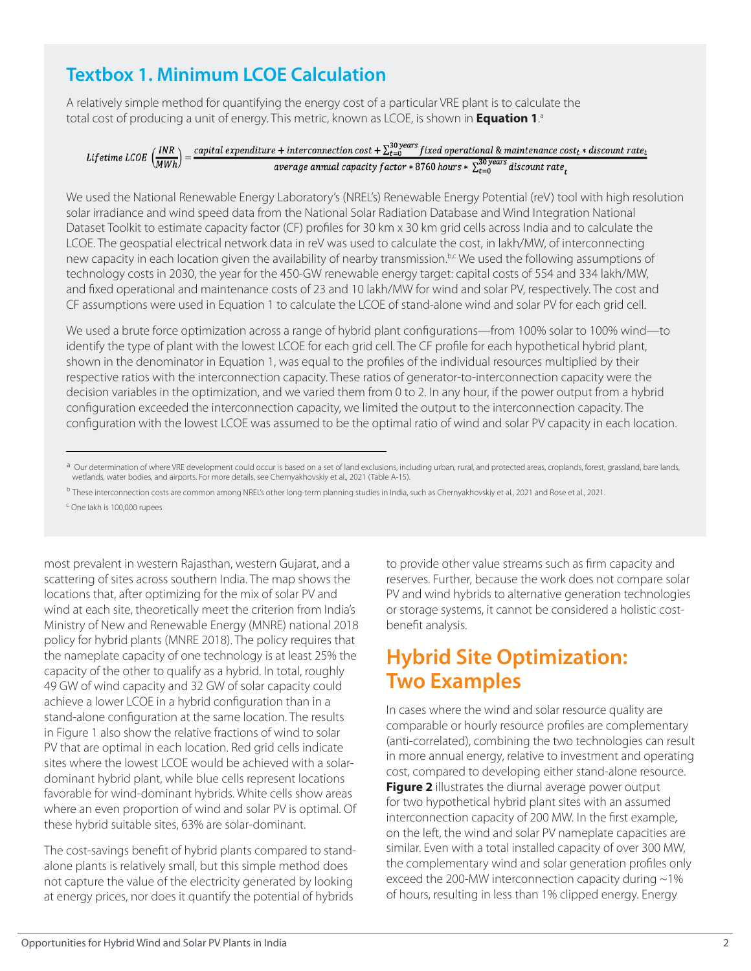## **Textbox 1. Minimum LCOE Calculation**

A relatively simple method for quantifying the energy cost of a particular VRE plant is to calculate the total cost of producing a unit of energy. This metric, known as LCOE, is shown in **Equation 1**. a

### Lifetime LCOE  $\left(\frac{INR}{MWh}\right) = \frac{capital\ expenditure + interconnection\ cost + \sum_{t=0}^{30\ years} fixed\ operational\ &\ maintenance\ cost_t * discount\ rate_t}{average\ annual\ capacity\ factor * 8760\ hours * \sum_{s=0}^{30\ years} discount\ rate}$ average annual capacity factor \* 8760 hours \*  $\sum_{t=0}^{30 \text{ years}}$  discount rate<sub>t</sub>

We used the National Renewable Energy Laboratory's (NREL's) Renewable Energy Potential (reV) tool with high resolution solar irradiance and wind speed data from the National Solar Radiation Database and Wind Integration National Dataset Toolkit to estimate capacity factor (CF) profiles for 30 km x 30 km grid cells across India and to calculate the LCOE. The geospatial electrical network data in reV was used to calculate the cost, in lakh/MW, of interconnecting new capacity in each location given the availability of nearby transmission.<sup>b,c</sup> We used the following assumptions of technology costs in 2030, the year for the 450-GW renewable energy target: capital costs of 554 and 334 lakh/MW, and fixed operational and maintenance costs of 23 and 10 lakh/MW for wind and solar PV, respectively. The cost and CF assumptions were used in Equation 1 to calculate the LCOE of stand-alone wind and solar PV for each grid cell.

We used a brute force optimization across a range of hybrid plant configurations—from 100% solar to 100% wind—to identify the type of plant with the lowest LCOE for each grid cell. The CF profile for each hypothetical hybrid plant, shown in the denominator in Equation 1, was equal to the profiles of the individual resources multiplied by their respective ratios with the interconnection capacity. These ratios of generator-to-interconnection capacity were the decision variables in the optimization, and we varied them from 0 to 2. In any hour, if the power output from a hybrid configuration exceeded the interconnection capacity, we limited the output to the interconnection capacity. The configuration with the lowest LCOE was assumed to be the optimal ratio of wind and solar PV capacity in each location.

c One Iakh is 100,000 rupees

most prevalent in western Rajasthan, western Gujarat, and a scattering of sites across southern India. The map shows the locations that, after optimizing for the mix of solar PV and wind at each site, theoretically meet the criterion from India's Ministry of New and Renewable Energy (MNRE) national 2018 policy for hybrid plants (MNRE 2018). The policy requires that the nameplate capacity of one technology is at least 25% the capacity of the other to qualify as a hybrid. In total, roughly 49 GW of wind capacity and 32 GW of solar capacity could achieve a lower LCOE in a hybrid configuration than in a stand-alone configuration at the same location. The results in Figure 1 also show the relative fractions of wind to solar PV that are optimal in each location. Red grid cells indicate sites where the lowest LCOE would be achieved with a solardominant hybrid plant, while blue cells represent locations favorable for wind-dominant hybrids. White cells show areas where an even proportion of wind and solar PV is optimal. Of these hybrid suitable sites, 63% are solar-dominant.

The cost-savings benefit of hybrid plants compared to standalone plants is relatively small, but this simple method does not capture the value of the electricity generated by looking at energy prices, nor does it quantify the potential of hybrids

to provide other value streams such as firm capacity and reserves. Further, because the work does not compare solar PV and wind hybrids to alternative generation technologies or storage systems, it cannot be considered a holistic costbenefit analysis.

# **Hybrid Site Optimization: Two Examples**

In cases where the wind and solar resource quality are comparable or hourly resource profiles are complementary (anti-correlated), combining the two technologies can result in more annual energy, relative to investment and operating cost, compared to developing either stand-alone resource. **Figure 2** illustrates the diurnal average power output for two hypothetical hybrid plant sites with an assumed interconnection capacity of 200 MW. In the first example, on the left, the wind and solar PV nameplate capacities are similar. Even with a total installed capacity of over 300 MW, the complementary wind and solar generation profiles only exceed the 200-MW interconnection capacity during ~1% of hours, resulting in less than 1% clipped energy. Energy

a Our determination of where VRE development could occur is based on a set of land exclusions, including urban, rural, and protected areas, croplands, forest, grassland, bare lands, wetlands, water bodies, and airports. For more details, see Chernyakhovskiy et al., 2021 (Table A-15).

<sup>&</sup>lt;sup>b</sup> These interconnection costs are common among NREL's other long-term planning studies in India, such as Chernyakhovskiy et al., 2021 and Rose et al., 2021.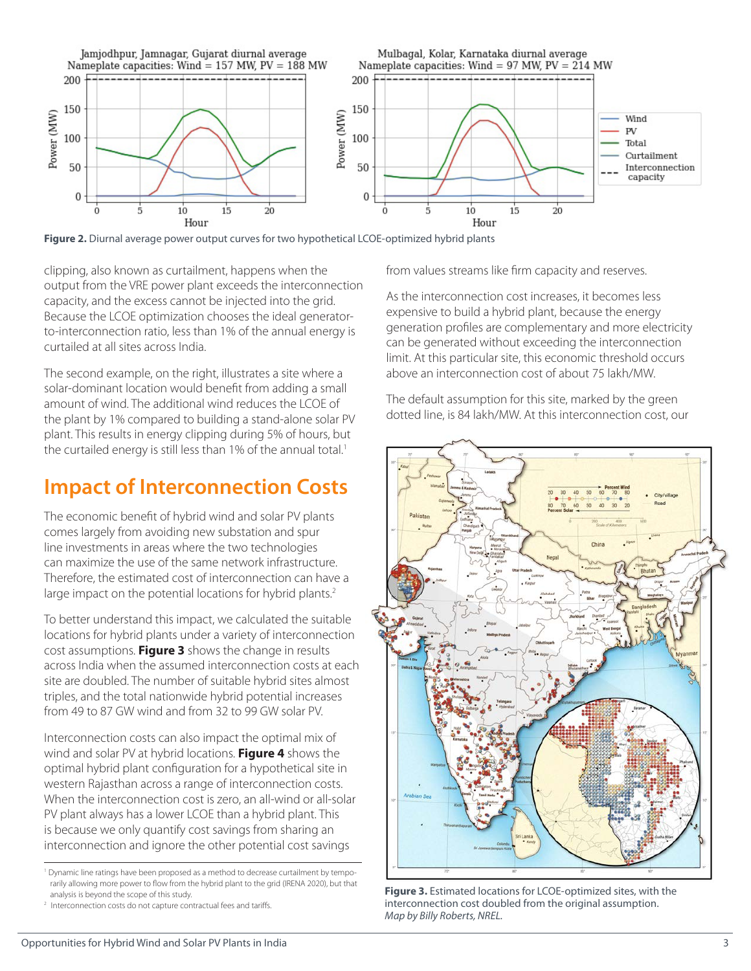

**Figure 2.** Diurnal average power output curves for two hypothetical LCOE-optimized hybrid plants

clipping, also known as curtailment, happens when the output from the VRE power plant exceeds the interconnection capacity, and the excess cannot be injected into the grid. Because the LCOE optimization chooses the ideal generatorto-interconnection ratio, less than 1% of the annual energy is curtailed at all sites across India.

The second example, on the right, illustrates a site where a solar-dominant location would benefit from adding a small amount of wind. The additional wind reduces the LCOE of the plant by 1% compared to building a stand-alone solar PV plant. This results in energy clipping during 5% of hours, but the curtailed energy is still less than 1% of the annual total.<sup>1</sup>

## **Impact of Interconnection Costs**

The economic benefit of hybrid wind and solar PV plants comes largely from avoiding new substation and spur line investments in areas where the two technologies can maximize the use of the same network infrastructure. Therefore, the estimated cost of interconnection can have a large impact on the potential locations for hybrid plants.<sup>2</sup>

To better understand this impact, we calculated the suitable locations for hybrid plants under a variety of interconnection cost assumptions. **Figure 3** shows the change in results across India when the assumed interconnection costs at each site are doubled. The number of suitable hybrid sites almost triples, and the total nationwide hybrid potential increases from 49 to 87 GW wind and from 32 to 99 GW solar PV.

Interconnection costs can also impact the optimal mix of wind and solar PV at hybrid locations. **Figure 4** shows the optimal hybrid plant configuration for a hypothetical site in western Rajasthan across a range of interconnection costs. When the interconnection cost is zero, an all-wind or all-solar PV plant always has a lower LCOE than a hybrid plant. This is because we only quantify cost savings from sharing an interconnection and ignore the other potential cost savings

<sup>1</sup> Dynamic line ratings have been proposed as a method to decrease curtailment by temporarily allowing more power to flow from the hybrid plant to the grid (IRENA 2020), but that analysis is beyond the scope of this study.

<sup>2</sup> Interconnection costs do not capture contractual fees and tariffs.

from values streams like firm capacity and reserves.

As the interconnection cost increases, it becomes less expensive to build a hybrid plant, because the energy generation profiles are complementary and more electricity can be generated without exceeding the interconnection limit. At this particular site, this economic threshold occurs above an interconnection cost of about 75 lakh/MW.

The default assumption for this site, marked by the green dotted line, is 84 lakh/MW. At this interconnection cost, our



**Figure 3.** Estimated locations for LCOE-optimized sites, with the interconnection cost doubled from the original assumption. *Map by Billy Roberts, NREL.*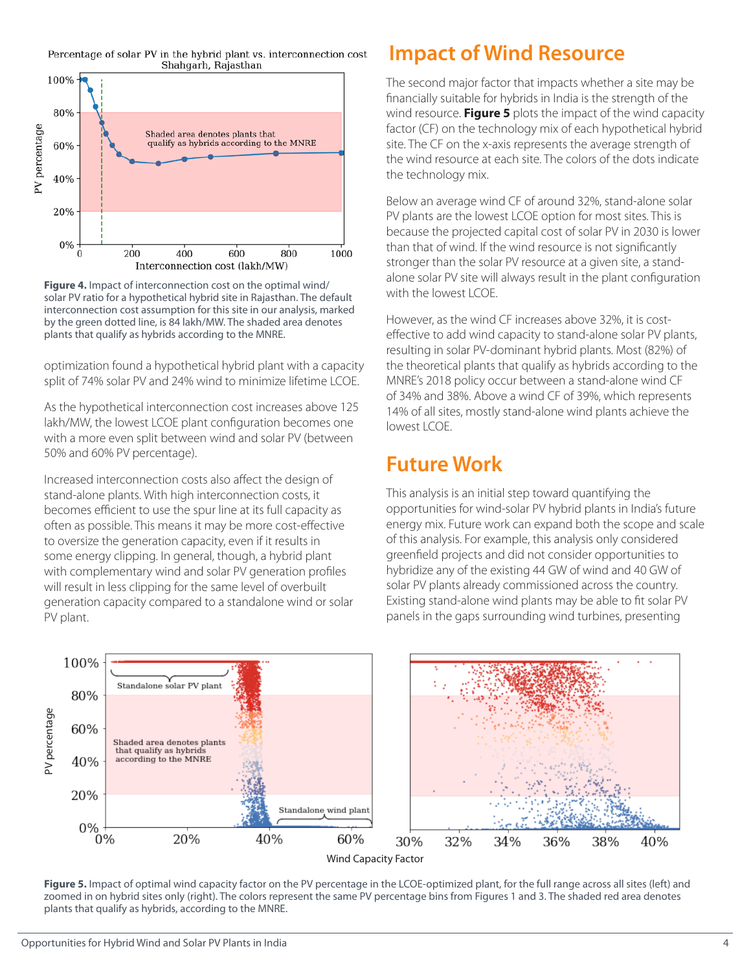Percentage of solar PV in the hybrid plant vs. interconnection cost Shahgarh, Rajasthan





optimization found a hypothetical hybrid plant with a capacity split of 74% solar PV and 24% wind to minimize lifetime LCOE.

As the hypothetical interconnection cost increases above 125 lakh/MW, the lowest LCOE plant configuration becomes one with a more even split between wind and solar PV (between 50% and 60% PV percentage).

Increased interconnection costs also affect the design of stand-alone plants. With high interconnection costs, it becomes efficient to use the spur line at its full capacity as often as possible. This means it may be more cost-effective to oversize the generation capacity, even if it results in some energy clipping. In general, though, a hybrid plant with complementary wind and solar PV generation profiles will result in less clipping for the same level of overbuilt generation capacity compared to a standalone wind or solar PV plant.

# **Impact of Wind Resource**

The second major factor that impacts whether a site may be financially suitable for hybrids in India is the strength of the wind resource. **Figure 5** plots the impact of the wind capacity factor (CF) on the technology mix of each hypothetical hybrid site. The CF on the x-axis represents the average strength of the wind resource at each site. The colors of the dots indicate the technology mix.

Below an average wind CF of around 32%, stand-alone solar PV plants are the lowest LCOE option for most sites. This is because the projected capital cost of solar PV in 2030 is lower than that of wind. If the wind resource is not significantly stronger than the solar PV resource at a given site, a standalone solar PV site will always result in the plant configuration with the lowest LCOE.

However, as the wind CF increases above 32%, it is costeffective to add wind capacity to stand-alone solar PV plants, resulting in solar PV-dominant hybrid plants. Most (82%) of the theoretical plants that qualify as hybrids according to the MNRE's 2018 policy occur between a stand-alone wind CF of 34% and 38%. Above a wind CF of 39%, which represents 14% of all sites, mostly stand-alone wind plants achieve the lowest LCOE.

## **Future Work**

This analysis is an initial step toward quantifying the opportunities for wind-solar PV hybrid plants in India's future energy mix. Future work can expand both the scope and scale of this analysis. For example, this analysis only considered greenfield projects and did not consider opportunities to hybridize any of the existing 44 GW of wind and 40 GW of solar PV plants already commissioned across the country. Existing stand-alone wind plants may be able to fit solar PV panels in the gaps surrounding wind turbines, presenting



**Figure 5.** Impact of optimal wind capacity factor on the PV percentage in the LCOE-optimized plant, for the full range across all sites (left) and zoomed in on hybrid sites only (right). The colors represent the same PV percentage bins from Figures 1 and 3. The shaded red area denotes plants that qualify as hybrids, according to the MNRE.